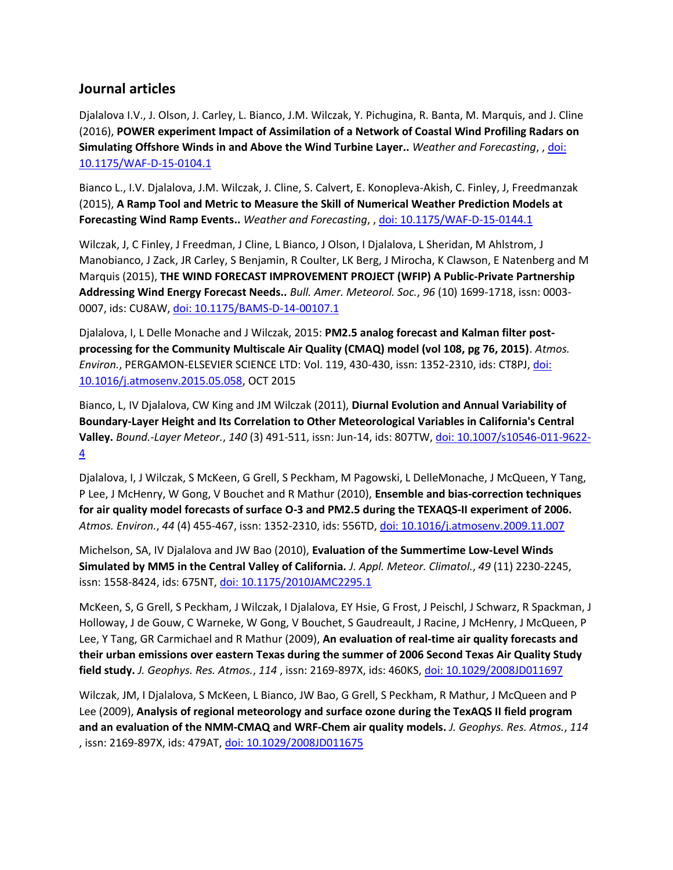## **Journal articles**

Djalalova I.V., J. Olson, J. Carley, L. Bianco, J.M. Wilczak, Y. Pichugina, R. Banta, M. Marquis, and J. Cline (2016), **POWER experiment Impact of Assimilation of a Network of Coastal Wind Profiling Radars on Simulating Offshore Winds in and Above the Wind Turbine Layer..** *Weather and Forecasting*, [, doi:](http://dx.doi.org/10.1175/WAF-D-15-0104.1)  [10.1175/WAF-D-15-0104.1](http://dx.doi.org/10.1175/WAF-D-15-0104.1)

Bianco L., I.V. Djalalova, J.M. Wilczak, J. Cline, S. Calvert, E. Konopleva-Akish, C. Finley, J, Freedmanzak (2015), **A Ramp Tool and Metric to Measure the Skill of Numerical Weather Prediction Models at Forecasting Wind Ramp Events..** *Weather and Forecasting*, [, doi: 10.1175/WAF-D-15-0144.1](http://dx.doi.org/10.1175/WAF-D-15-0144.1)

Wilczak, J, C Finley, J Freedman, J Cline, L Bianco, J Olson, I Djalalova, L Sheridan, M Ahlstrom, J Manobianco, J Zack, JR Carley, S Benjamin, R Coulter, LK Berg, J Mirocha, K Clawson, E Natenberg and M Marquis (2015), **THE WIND FORECAST IMPROVEMENT PROJECT (WFIP) A Public-Private Partnership Addressing Wind Energy Forecast Needs..** *Bull. Amer. Meteorol. Soc.*, *96* (10) 1699-1718, issn: 0003- 0007, ids: CU8AW[, doi: 10.1175/BAMS-D-14-00107.1](http://dx.doi.org/10.1175/BAMS-D-14-00107.1)

Djalalova, I, L Delle Monache and J Wilczak, 2015: **PM2.5 analog forecast and Kalman filter postprocessing for the Community Multiscale Air Quality (CMAQ) model (vol 108, pg 76, 2015)**. *Atmos. Environ.*, PERGAMON-ELSEVIER SCIENCE LTD: Vol. 119, 430-430, issn: 1352-2310, ids: CT8PJ, [doi:](http://dx.doi.org/10.1016/j.atmosenv.2015.05.058)  [10.1016/j.atmosenv.2015.05.058,](http://dx.doi.org/10.1016/j.atmosenv.2015.05.058) OCT 2015

Bianco, L, IV Djalalova, CW King and JM Wilczak (2011), **Diurnal Evolution and Annual Variability of Boundary-Layer Height and Its Correlation to Other Meteorological Variables in California's Central Valley.** *Bound.-Layer Meteor.*, *140* (3) 491-511, issn: Jun-14, ids: 807TW, [doi: 10.1007/s10546-011-9622-](http://dx.doi.org/10.1007/s10546-011-9622-4) [4](http://dx.doi.org/10.1007/s10546-011-9622-4)

Djalalova, I, J Wilczak, S McKeen, G Grell, S Peckham, M Pagowski, L DelleMonache, J McQueen, Y Tang, P Lee, J McHenry, W Gong, V Bouchet and R Mathur (2010), **Ensemble and bias-correction techniques for air quality model forecasts of surface O-3 and PM2.5 during the TEXAQS-II experiment of 2006.** *Atmos. Environ.*, *44* (4) 455-467, issn: 1352-2310, ids: 556TD[, doi: 10.1016/j.atmosenv.2009.11.007](http://dx.doi.org/10.1016/j.atmosenv.2009.11.007)

Michelson, SA, IV Djalalova and JW Bao (2010), **Evaluation of the Summertime Low-Level Winds Simulated by MM5 in the Central Valley of California.** *J. Appl. Meteor. Climatol.*, *49* (11) 2230-2245, issn: 1558-8424, ids: 675NT, [doi: 10.1175/2010JAMC2295.1](http://dx.doi.org/10.1175/2010JAMC2295.1)

McKeen, S, G Grell, S Peckham, J Wilczak, I Djalalova, EY Hsie, G Frost, J Peischl, J Schwarz, R Spackman, J Holloway, J de Gouw, C Warneke, W Gong, V Bouchet, S Gaudreault, J Racine, J McHenry, J McQueen, P Lee, Y Tang, GR Carmichael and R Mathur (2009), **An evaluation of real-time air quality forecasts and their urban emissions over eastern Texas during the summer of 2006 Second Texas Air Quality Study field study.** *J. Geophys. Res. Atmos.*, *114* , issn: 2169-897X, ids: 460KS, [doi: 10.1029/2008JD011697](http://dx.doi.org/10.1029/2008JD011697)

Wilczak, JM, I Djalalova, S McKeen, L Bianco, JW Bao, G Grell, S Peckham, R Mathur, J McQueen and P Lee (2009), **Analysis of regional meteorology and surface ozone during the TexAQS II field program and an evaluation of the NMM-CMAQ and WRF-Chem air quality models.** *J. Geophys. Res. Atmos.*, *114* , issn: 2169-897X, ids: 479AT[, doi: 10.1029/2008JD011675](http://dx.doi.org/10.1029/2008JD011675)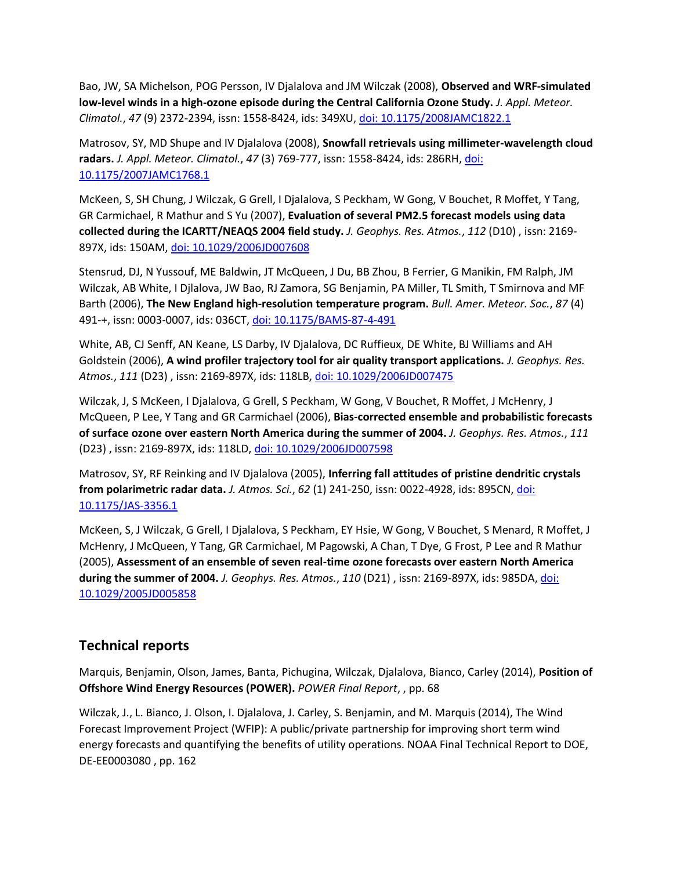Bao, JW, SA Michelson, POG Persson, IV Djalalova and JM Wilczak (2008), **Observed and WRF-simulated low-level winds in a high-ozone episode during the Central California Ozone Study.** *J. Appl. Meteor. Climatol.*, *47* (9) 2372-2394, issn: 1558-8424, ids: 349XU, [doi: 10.1175/2008JAMC1822.1](http://dx.doi.org/10.1175/2008JAMC1822.1)

Matrosov, SY, MD Shupe and IV Djalalova (2008), **Snowfall retrievals using millimeter-wavelength cloud radars.** *J. Appl. Meteor. Climatol.*, *47* (3) 769-777, issn: 1558-8424, ids: 286RH[, doi:](http://dx.doi.org/10.1175/2007JAMC1768.1)  [10.1175/2007JAMC1768.1](http://dx.doi.org/10.1175/2007JAMC1768.1)

McKeen, S, SH Chung, J Wilczak, G Grell, I Djalalova, S Peckham, W Gong, V Bouchet, R Moffet, Y Tang, GR Carmichael, R Mathur and S Yu (2007), **Evaluation of several PM2.5 forecast models using data collected during the ICARTT/NEAQS 2004 field study.** *J. Geophys. Res. Atmos.*, *112* (D10) , issn: 2169- 897X, ids: 150AM[, doi: 10.1029/2006JD007608](http://dx.doi.org/10.1029/2006JD007608)

Stensrud, DJ, N Yussouf, ME Baldwin, JT McQueen, J Du, BB Zhou, B Ferrier, G Manikin, FM Ralph, JM Wilczak, AB White, I Djlalova, JW Bao, RJ Zamora, SG Benjamin, PA Miller, TL Smith, T Smirnova and MF Barth (2006), **The New England high-resolution temperature program.** *Bull. Amer. Meteor. Soc.*, *87* (4) 491-+, issn: 0003-0007, ids: 036CT[, doi: 10.1175/BAMS-87-4-491](http://dx.doi.org/10.1175/BAMS-87-4-491)

White, AB, CJ Senff, AN Keane, LS Darby, IV Djalalova, DC Ruffieux, DE White, BJ Williams and AH Goldstein (2006), **A wind profiler trajectory tool for air quality transport applications.** *J. Geophys. Res. Atmos.*, *111* (D23) , issn: 2169-897X, ids: 118LB[, doi: 10.1029/2006JD007475](http://dx.doi.org/10.1029/2006JD007475)

Wilczak, J, S McKeen, I Djalalova, G Grell, S Peckham, W Gong, V Bouchet, R Moffet, J McHenry, J McQueen, P Lee, Y Tang and GR Carmichael (2006), **Bias-corrected ensemble and probabilistic forecasts of surface ozone over eastern North America during the summer of 2004.** *J. Geophys. Res. Atmos.*, *111* (D23) , issn: 2169-897X, ids: 118LD, [doi: 10.1029/2006JD007598](http://dx.doi.org/10.1029/2006JD007598)

Matrosov, SY, RF Reinking and IV Djalalova (2005), **Inferring fall attitudes of pristine dendritic crystals from polarimetric radar data.** *J. Atmos. Sci.*, *62* (1) 241-250, issn: 0022-4928, ids: 895CN, [doi:](http://dx.doi.org/10.1175/JAS-3356.1)  [10.1175/JAS-3356.1](http://dx.doi.org/10.1175/JAS-3356.1)

McKeen, S, J Wilczak, G Grell, I Djalalova, S Peckham, EY Hsie, W Gong, V Bouchet, S Menard, R Moffet, J McHenry, J McQueen, Y Tang, GR Carmichael, M Pagowski, A Chan, T Dye, G Frost, P Lee and R Mathur (2005), **Assessment of an ensemble of seven real-time ozone forecasts over eastern North America during the summer of 2004.** *J. Geophys. Res. Atmos.*, *110* (D21) , issn: 2169-897X, ids: 985DA[, doi:](http://dx.doi.org/10.1029/2005JD005858)  [10.1029/2005JD005858](http://dx.doi.org/10.1029/2005JD005858)

## **Technical reports**

Marquis, Benjamin, Olson, James, Banta, Pichugina, Wilczak, Djalalova, Bianco, Carley (2014), **Position of Offshore Wind Energy Resources (POWER).** *POWER Final Report*, , pp. 68

Wilczak, J., L. Bianco, J. Olson, I. Djalalova, J. Carley, S. Benjamin, and M. Marquis (2014), The Wind Forecast Improvement Project (WFIP): A public/private partnership for improving short term wind energy forecasts and quantifying the benefits of utility operations. NOAA Final Technical Report to DOE, DE-EE0003080 , pp. 162